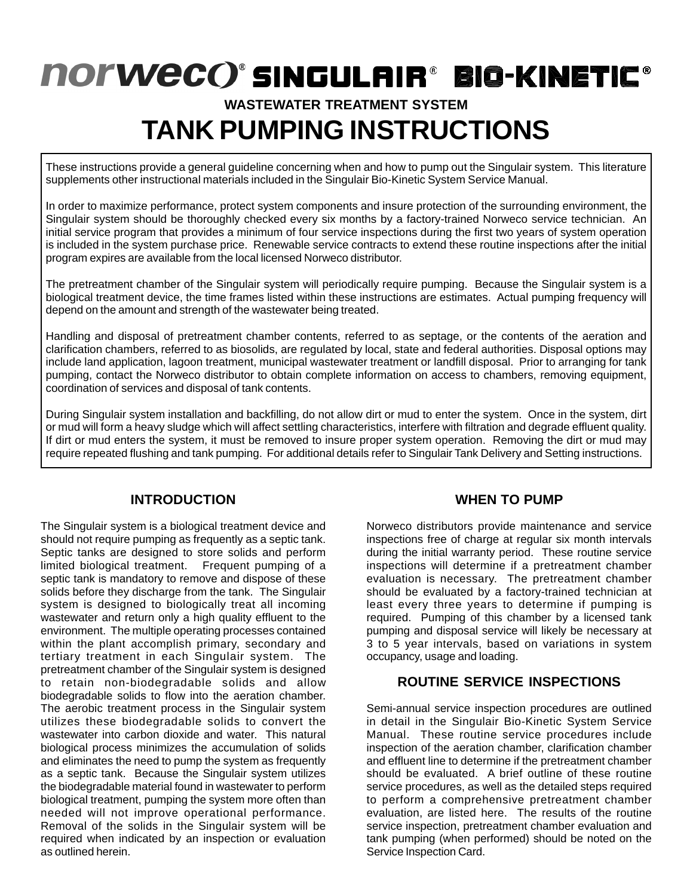# **NOrweco'sINGULAIR® BIG-KINETIE® WASTEWATER TREATMENT SYSTEM**

# **TANK PUMPING INSTRUCTIONS**

These instructions provide a general guideline concerning when and how to pump out the Singulair system. This literature supplements other instructional materials included in the Singulair Bio-Kinetic System Service Manual.

In order to maximize performance, protect system components and insure protection of the surrounding environment, the Singulair system should be thoroughly checked every six months by a factory-trained Norweco service technician. An initial service program that provides a minimum of four service inspections during the first two years of system operation is included in the system purchase price. Renewable service contracts to extend these routine inspections after the initial program expires are available from the local licensed Norweco distributor.

The pretreatment chamber of the Singulair system will periodically require pumping. Because the Singulair system is a biological treatment device, the time frames listed within these instructions are estimates. Actual pumping frequency will depend on the amount and strength of the wastewater being treated.

Handling and disposal of pretreatment chamber contents, referred to as septage, or the contents of the aeration and clarification chambers, referred to as biosolids, are regulated by local, state and federal authorities. Disposal options may include land application, lagoon treatment, municipal wastewater treatment or landfill disposal. Prior to arranging for tank pumping, contact the Norweco distributor to obtain complete information on access to chambers, removing equipment, coordination of services and disposal of tank contents.

During Singulair system installation and backfilling, do not allow dirt or mud to enter the system. Once in the system, dirt or mud will form a heavy sludge which will affect settling characteristics, interfere with filtration and degrade effluent quality. If dirt or mud enters the system, it must be removed to insure proper system operation. Removing the dirt or mud may require repeated flushing and tank pumping. For additional details refer to Singulair Tank Delivery and Setting instructions.

# **INTRODUCTION**

The Singulair system is a biological treatment device and should not require pumping as frequently as a septic tank. Septic tanks are designed to store solids and perform limited biological treatment. Frequent pumping of a septic tank is mandatory to remove and dispose of these solids before they discharge from the tank. The Singulair system is designed to biologically treat all incoming wastewater and return only a high quality effluent to the environment. The multiple operating processes contained within the plant accomplish primary, secondary and tertiary treatment in each Singulair system. The pretreatment chamber of the Singulair system is designed to retain non-biodegradable solids and allow biodegradable solids to flow into the aeration chamber. The aerobic treatment process in the Singulair system utilizes these biodegradable solids to convert the wastewater into carbon dioxide and water. This natural biological process minimizes the accumulation of solids and eliminates the need to pump the system as frequently as a septic tank. Because the Singulair system utilizes the biodegradable material found in wastewater to perform biological treatment, pumping the system more often than needed will not improve operational performance. Removal of the solids in the Singulair system will be required when indicated by an inspection or evaluation as outlined herein.

# **WHEN TO PUMP**

Norweco distributors provide maintenance and service inspections free of charge at regular six month intervals during the initial warranty period. These routine service inspections will determine if a pretreatment chamber evaluation is necessary. The pretreatment chamber should be evaluated by a factory-trained technician at least every three years to determine if pumping is required. Pumping of this chamber by a licensed tank pumping and disposal service will likely be necessary at 3 to 5 year intervals, based on variations in system occupancy, usage and loading.

# **ROUTINE SERVICE INSPECTIONS**

Semi-annual service inspection procedures are outlined in detail in the Singulair Bio-Kinetic System Service Manual. These routine service procedures include inspection of the aeration chamber, clarification chamber and effluent line to determine if the pretreatment chamber should be evaluated. A brief outline of these routine service procedures, as well as the detailed steps required to perform a comprehensive pretreatment chamber evaluation, are listed here. The results of the routine service inspection, pretreatment chamber evaluation and tank pumping (when performed) should be noted on the Service Inspection Card.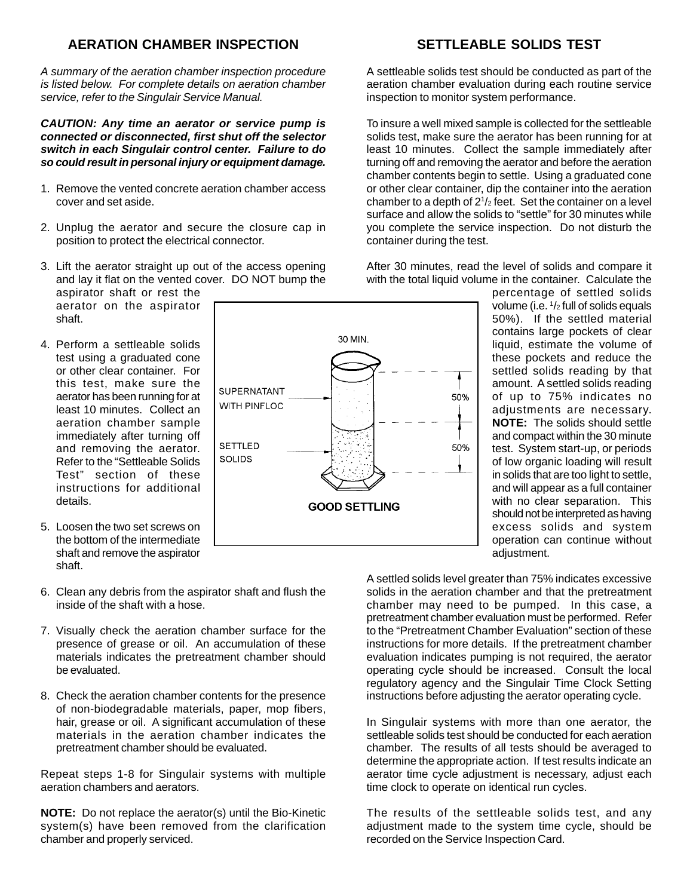#### **AERATION CHAMBER INSPECTION**

A summary of the aeration chamber inspection procedure is listed below. For complete details on aeration chamber service, refer to the Singulair Service Manual.

#### **CAUTION: Any time an aerator or service pump is connected or disconnected, first shut off the selector switch in each Singulair control center. Failure to do so could result in personal injury or equipment damage.**

- 1. Remove the vented concrete aeration chamber access cover and set aside.
- 2. Unplug the aerator and secure the closure cap in position to protect the electrical connector.
- 3. Lift the aerator straight up out of the access opening and lay it flat on the vented cover. DO NOT bump the aspirator shaft or rest the aerator on the aspirator shaft.
- 4. Perform a settleable solids test using a graduated cone or other clear container. For this test, make sure the aerator has been running for at least 10 minutes. Collect an aeration chamber sample immediately after turning off and removing the aerator. Refer to the "Settleable Solids Test" section of these instructions for additional details.
- 5. Loosen the two set screws on the bottom of the intermediate shaft and remove the aspirator shaft.
- 6. Clean any debris from the aspirator shaft and flush the inside of the shaft with a hose.
- 7. Visually check the aeration chamber surface for the presence of grease or oil. An accumulation of these materials indicates the pretreatment chamber should be evaluated.
- 8. Check the aeration chamber contents for the presence of non-biodegradable materials, paper, mop fibers, hair, grease or oil. A significant accumulation of these materials in the aeration chamber indicates the pretreatment chamber should be evaluated.

Repeat steps 1-8 for Singulair systems with multiple aeration chambers and aerators.

**NOTE:** Do not replace the aerator(s) until the Bio-Kinetic system(s) have been removed from the clarification chamber and properly serviced.

A settleable solids test should be conducted as part of the aeration chamber evaluation during each routine service inspection to monitor system performance.

To insure a well mixed sample is collected for the settleable solids test, make sure the aerator has been running for at least 10 minutes. Collect the sample immediately after turning off and removing the aerator and before the aeration chamber contents begin to settle. Using a graduated cone or other clear container, dip the container into the aeration chamber to a depth of 21 /2 feet. Set the container on a level surface and allow the solids to "settle" for 30 minutes while you complete the service inspection. Do not disturb the container during the test.

After 30 minutes, read the level of solids and compare it with the total liquid volume in the container. Calculate the

> percentage of settled solids volume (i.e. 1/2 full of solids equals 50%). If the settled material contains large pockets of clear liquid, estimate the volume of these pockets and reduce the settled solids reading by that amount. A settled solids reading of up to 75% indicates no adjustments are necessary. **NOTE:** The solids should settle and compact within the 30 minute test. System start-up, or periods of low organic loading will result in solids that are too light to settle, and will appear as a full container with no clear separation. This should not be interpreted as having excess solids and system operation can continue without adjustment.

A settled solids level greater than 75% indicates excessive solids in the aeration chamber and that the pretreatment chamber may need to be pumped. In this case, a pretreatment chamber evaluation must be performed. Refer to the "Pretreatment Chamber Evaluation" section of these instructions for more details. If the pretreatment chamber evaluation indicates pumping is not required, the aerator operating cycle should be increased. Consult the local regulatory agency and the Singulair Time Clock Setting instructions before adjusting the aerator operating cycle.

In Singulair systems with more than one aerator, the settleable solids test should be conducted for each aeration chamber. The results of all tests should be averaged to determine the appropriate action. If test results indicate an aerator time cycle adjustment is necessary, adjust each time clock to operate on identical run cycles.

The results of the settleable solids test, and any adjustment made to the system time cycle, should be recorded on the Service Inspection Card.



# **SETTLEABLE SOLIDS TEST**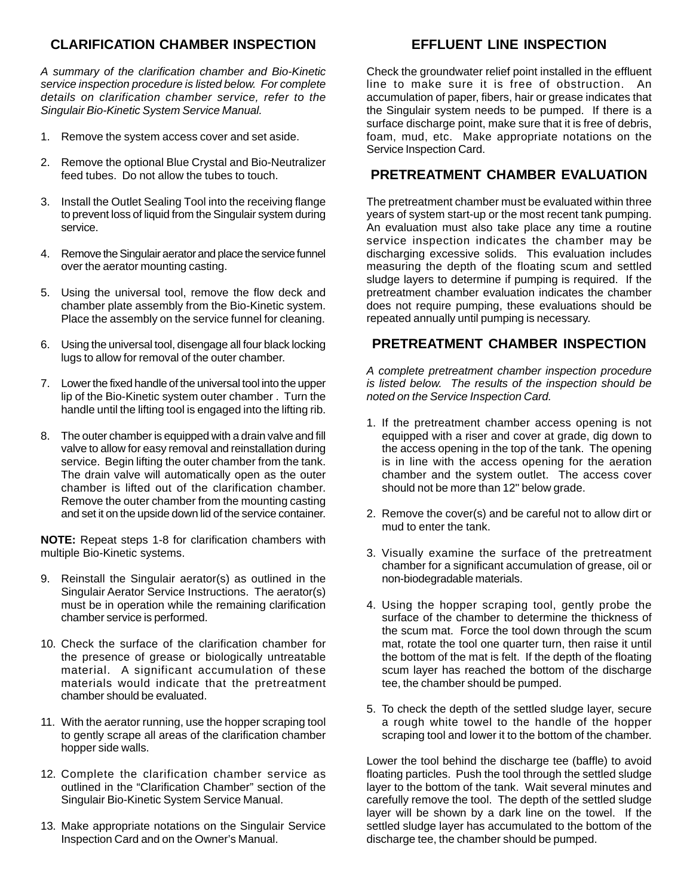### **CLARIFICATION CHAMBER INSPECTION**

A summary of the clarification chamber and Bio-Kinetic service inspection procedure is listed below. For complete details on clarification chamber service, refer to the Singulair Bio-Kinetic System Service Manual.

- 1. Remove the system access cover and set aside.
- 2. Remove the optional Blue Crystal and Bio-Neutralizer feed tubes. Do not allow the tubes to touch.
- 3. Install the Outlet Sealing Tool into the receiving flange to prevent loss of liquid from the Singulair system during service.
- 4. Remove the Singulair aerator and place the service funnel over the aerator mounting casting.
- 5. Using the universal tool, remove the flow deck and chamber plate assembly from the Bio-Kinetic system. Place the assembly on the service funnel for cleaning.
- 6. Using the universal tool, disengage all four black locking lugs to allow for removal of the outer chamber.
- 7. Lower the fixed handle of the universal tool into the upper lip of the Bio-Kinetic system outer chamber . Turn the handle until the lifting tool is engaged into the lifting rib.
- 8. The outer chamber is equipped with a drain valve and fill valve to allow for easy removal and reinstallation during service. Begin lifting the outer chamber from the tank. The drain valve will automatically open as the outer chamber is lifted out of the clarification chamber. Remove the outer chamber from the mounting casting and set it on the upside down lid of the service container.

**NOTE:** Repeat steps 1-8 for clarification chambers with multiple Bio-Kinetic systems.

- 9. Reinstall the Singulair aerator(s) as outlined in the Singulair Aerator Service Instructions. The aerator(s) must be in operation while the remaining clarification chamber service is performed.
- 10. Check the surface of the clarification chamber for the presence of grease or biologically untreatable material. A significant accumulation of these materials would indicate that the pretreatment chamber should be evaluated.
- 11. With the aerator running, use the hopper scraping tool to gently scrape all areas of the clarification chamber hopper side walls.
- 12. Complete the clarification chamber service as outlined in the "Clarification Chamber" section of the Singulair Bio-Kinetic System Service Manual.
- 13. Make appropriate notations on the Singulair Service Inspection Card and on the Owner's Manual.

Check the groundwater relief point installed in the effluent line to make sure it is free of obstruction. An accumulation of paper, fibers, hair or grease indicates that the Singulair system needs to be pumped. If there is a surface discharge point, make sure that it is free of debris, foam, mud, etc. Make appropriate notations on the Service Inspection Card.

#### **PRETREATMENT CHAMBER EVALUATION**

The pretreatment chamber must be evaluated within three years of system start-up or the most recent tank pumping. An evaluation must also take place any time a routine service inspection indicates the chamber may be discharging excessive solids. This evaluation includes measuring the depth of the floating scum and settled sludge layers to determine if pumping is required. If the pretreatment chamber evaluation indicates the chamber does not require pumping, these evaluations should be repeated annually until pumping is necessary.

#### **PRETREATMENT CHAMBER INSPECTION**

A complete pretreatment chamber inspection procedure is listed below. The results of the inspection should be noted on the Service Inspection Card.

- 1. If the pretreatment chamber access opening is not equipped with a riser and cover at grade, dig down to the access opening in the top of the tank. The opening is in line with the access opening for the aeration chamber and the system outlet. The access cover should not be more than 12" below grade.
- 2. Remove the cover(s) and be careful not to allow dirt or mud to enter the tank.
- 3. Visually examine the surface of the pretreatment chamber for a significant accumulation of grease, oil or non-biodegradable materials.
- 4. Using the hopper scraping tool, gently probe the surface of the chamber to determine the thickness of the scum mat. Force the tool down through the scum mat, rotate the tool one quarter turn, then raise it until the bottom of the mat is felt. If the depth of the floating scum layer has reached the bottom of the discharge tee, the chamber should be pumped.
- 5. To check the depth of the settled sludge layer, secure a rough white towel to the handle of the hopper scraping tool and lower it to the bottom of the chamber.

Lower the tool behind the discharge tee (baffle) to avoid floating particles. Push the tool through the settled sludge layer to the bottom of the tank. Wait several minutes and carefully remove the tool. The depth of the settled sludge layer will be shown by a dark line on the towel. If the settled sludge layer has accumulated to the bottom of the discharge tee, the chamber should be pumped.

### **EFFLUENT LINE INSPECTION**